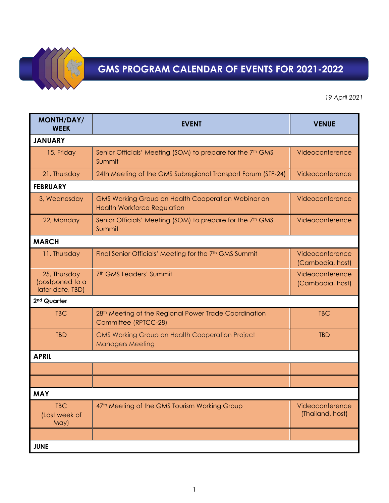

## **GMS PROGRAM CALENDAR OF EVENTS FOR 2021-2022**

*19 April 2021*

| <b>MONTH/DAY/</b><br><b>WEEK</b>                    | <b>EVENT</b>                                                                                    | <b>VENUE</b>                        |  |  |
|-----------------------------------------------------|-------------------------------------------------------------------------------------------------|-------------------------------------|--|--|
| <b>JANUARY</b>                                      |                                                                                                 |                                     |  |  |
| 15, Friday                                          | Senior Officials' Meeting (SOM) to prepare for the 7 <sup>th</sup> GMS<br>Summit                | Videoconference                     |  |  |
| 21, Thursday                                        | 24th Meeting of the GMS Subregional Transport Forum (STF-24)                                    | Videoconference                     |  |  |
| <b>FEBRUARY</b>                                     |                                                                                                 |                                     |  |  |
| 3, Wednesday                                        | <b>GMS Working Group on Health Cooperation Webinar on</b><br><b>Health Workforce Regulation</b> | Videoconference                     |  |  |
| 22, Monday                                          | Senior Officials' Meeting (SOM) to prepare for the 7 <sup>th</sup> GMS<br>Summit                | Videoconference                     |  |  |
| <b>MARCH</b>                                        |                                                                                                 |                                     |  |  |
| 11, Thursday                                        | Final Senior Officials' Meeting for the 7th GMS Summit                                          | Videoconference<br>(Cambodia, host) |  |  |
| 25, Thursday<br>(postponed to a<br>later date, TBD) | 7 <sup>th</sup> GMS Leaders' Summit                                                             | Videoconference<br>(Cambodia, host) |  |  |
| 2 <sup>nd</sup> Quarter                             |                                                                                                 |                                     |  |  |
| <b>TBC</b>                                          | 28 <sup>th</sup> Meeting of the Regional Power Trade Coordination<br>Committee (RPTCC-28)       | <b>TBC</b>                          |  |  |
| <b>TBD</b>                                          | <b>GMS Working Group on Health Cooperation Project</b><br><b>Managers Meeting</b>               | <b>TBD</b>                          |  |  |
| <b>APRIL</b>                                        |                                                                                                 |                                     |  |  |
|                                                     |                                                                                                 |                                     |  |  |
|                                                     |                                                                                                 |                                     |  |  |
| <b>MAY</b>                                          |                                                                                                 |                                     |  |  |
| <b>TBC</b><br>(Last week of<br>May)                 | 47 <sup>th</sup> Meeting of the GMS Tourism Working Group                                       | Videoconference<br>(Thailand, host) |  |  |
|                                                     |                                                                                                 |                                     |  |  |
| <b>JUNE</b>                                         |                                                                                                 |                                     |  |  |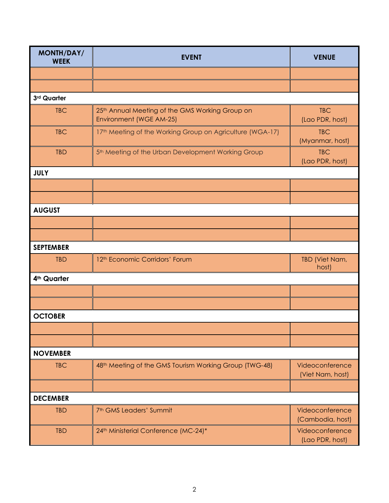| <b>MONTH/DAY/</b><br><b>WEEK</b> | <b>EVENT</b>                                                               | <b>VENUE</b>                        |  |  |
|----------------------------------|----------------------------------------------------------------------------|-------------------------------------|--|--|
|                                  |                                                                            |                                     |  |  |
|                                  |                                                                            |                                     |  |  |
| 3rd Quarter                      |                                                                            |                                     |  |  |
| <b>TBC</b>                       | 25th Annual Meeting of the GMS Working Group on<br>Environment (WGE AM-25) | <b>TBC</b><br>(Lao PDR, host)       |  |  |
| <b>TBC</b>                       | 17th Meeting of the Working Group on Agriculture (WGA-17)                  | <b>TBC</b><br>(Myanmar, host)       |  |  |
| <b>TBD</b>                       | 5 <sup>th</sup> Meeting of the Urban Development Working Group             | <b>TBC</b><br>(Lao PDR, host)       |  |  |
| <b>JULY</b>                      |                                                                            |                                     |  |  |
|                                  |                                                                            |                                     |  |  |
|                                  |                                                                            |                                     |  |  |
| <b>AUGUST</b>                    |                                                                            |                                     |  |  |
|                                  |                                                                            |                                     |  |  |
|                                  |                                                                            |                                     |  |  |
| <b>SEPTEMBER</b>                 |                                                                            |                                     |  |  |
| <b>TBD</b>                       | 12 <sup>th</sup> Economic Corridors' Forum                                 | TBD (Viet Nam,<br>host)             |  |  |
| 4 <sup>th</sup> Quarter          |                                                                            |                                     |  |  |
|                                  |                                                                            |                                     |  |  |
|                                  |                                                                            |                                     |  |  |
| <b>OCTOBER</b>                   |                                                                            |                                     |  |  |
|                                  |                                                                            |                                     |  |  |
|                                  |                                                                            |                                     |  |  |
| <b>NOVEMBER</b>                  |                                                                            |                                     |  |  |
| <b>TBC</b>                       | 48 <sup>th</sup> Meeting of the GMS Tourism Working Group (TWG-48)         | Videoconference<br>(Viet Nam, host) |  |  |
|                                  |                                                                            |                                     |  |  |
| <b>DECEMBER</b>                  |                                                                            |                                     |  |  |
| <b>TBD</b>                       | 7 <sup>th</sup> GMS Leaders' Summit                                        | Videoconference<br>(Cambodia, host) |  |  |
| <b>TBD</b>                       | 24th Ministerial Conference (MC-24)*                                       | Videoconference<br>(Lao PDR, host)  |  |  |